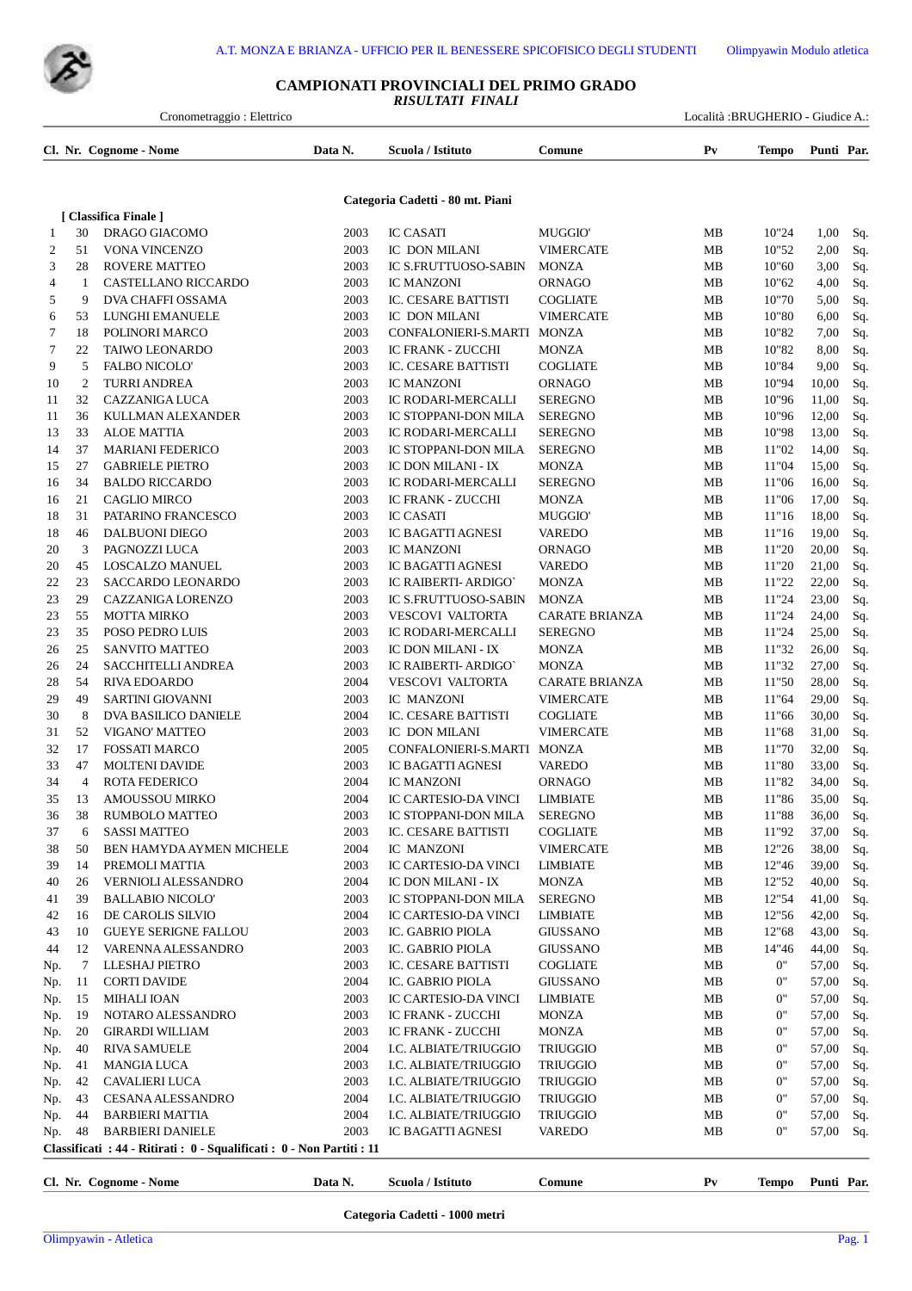## **CAMPIONATI PROVINCIALI DEL PRIMO GRADO** *RISULTATI FINALI*

| Cronometraggio: Elettrico |                |                                                                        |              |                                        |                                  | Località :BRUGHERIO - Giudice A.: |                |                |            |
|---------------------------|----------------|------------------------------------------------------------------------|--------------|----------------------------------------|----------------------------------|-----------------------------------|----------------|----------------|------------|
|                           |                | Cl. Nr. Cognome - Nome                                                 | Data N.      | Scuola / Istituto                      | Comune                           | $P_{V}$                           | <b>Tempo</b>   | Punti Par.     |            |
|                           |                |                                                                        |              | Categoria Cadetti - 80 mt. Piani       |                                  |                                   |                |                |            |
|                           |                | [ Classifica Finale ]                                                  |              |                                        |                                  |                                   |                |                |            |
| 1                         | 30             | DRAGO GIACOMO                                                          | 2003         | <b>IC CASATI</b>                       | <b>MUGGIO</b>                    | MВ                                | 10"24          | 1,00           | Sq.        |
| 2                         | 51             | VONA VINCENZO                                                          | 2003         | IC DON MILANI                          | <b>VIMERCATE</b>                 | MВ                                | 10"52          | 2,00           | Sq.        |
| 3                         | 28             | <b>ROVERE MATTEO</b>                                                   | 2003         | <b>IC S.FRUTTUOSO-SABIN</b>            | <b>MONZA</b>                     | МB                                | 10"60          | 3,00           | Sq.        |
| 4                         | 1<br>9         | CASTELLANO RICCARDO                                                    | 2003         | <b>IC MANZONI</b>                      | ORNAGO                           | МB                                | 10"62          | 4,00           | Sq.        |
| 5                         |                | DVA CHAFFI OSSAMA                                                      | 2003<br>2003 | IC. CESARE BATTISTI<br>IC DON MILANI   | <b>COGLIATE</b>                  | MB                                | 10"70          | 5,00<br>6,00   | Sq.        |
| 6<br>7                    | 53<br>18       | LUNGHI EMANUELE<br>POLINORI MARCO                                      | 2003         | CONFALONIERI-S.MARTI                   | <b>VIMERCATE</b><br><b>MONZA</b> | MB<br>MB                          | 10"80<br>10"82 | 7,00           | Sq.<br>Sq. |
| 7                         | 22             | <b>TAIWO LEONARDO</b>                                                  | 2003         | <b>IC FRANK - ZUCCHI</b>               | <b>MONZA</b>                     | MВ                                | 10"82          | 8,00           | Sq.        |
| 9                         | 5              | <b>FALBO NICOLO'</b>                                                   | 2003         | IC. CESARE BATTISTI                    | <b>COGLIATE</b>                  | MB                                | 10"84          | 9,00           | Sq.        |
| 10                        | $\overline{2}$ | <b>TURRI ANDREA</b>                                                    | 2003         | <b>IC MANZONI</b>                      | ORNAGO                           | MB                                | 10"94          | 10,00          | Sq.        |
| 11                        | 32             | CAZZANIGA LUCA                                                         | 2003         | IC RODARI-MERCALLI                     | <b>SEREGNO</b>                   | MB                                | 10"96          | 11,00          | Sq.        |
| 11                        | 36             | KULLMAN ALEXANDER                                                      | 2003         | IC STOPPANI-DON MILA                   | <b>SEREGNO</b>                   | MВ                                | 10"96          | 12,00          | Sq.        |
| 13                        | 33             | <b>ALOE MATTIA</b>                                                     | 2003         | IC RODARI-MERCALLI                     | <b>SEREGNO</b>                   | <b>MB</b>                         | 10"98          | 13,00          | Sq.        |
| 14                        | 37             | <b>MARIANI FEDERICO</b>                                                | 2003         | IC STOPPANI-DON MILA                   | <b>SEREGNO</b>                   | MB                                | 11"02          | 14,00          | Sq.        |
| 15                        | 27             | <b>GABRIELE PIETRO</b>                                                 | 2003         | IC DON MILANI - IX                     | <b>MONZA</b>                     | MB                                | 11"04          | 15,00          | Sq.        |
| 16                        | 34             | <b>BALDO RICCARDO</b>                                                  | 2003         | IC RODARI-MERCALLI                     | <b>SEREGNO</b>                   | MB                                | 11"06          | 16,00          | Sq.        |
| 16                        | 21             | <b>CAGLIO MIRCO</b>                                                    | 2003         | <b>IC FRANK - ZUCCHI</b>               | <b>MONZA</b>                     | MB                                | 11"06          | 17,00          | Sq.        |
| 18                        | 31             | PATARINO FRANCESCO                                                     | 2003         | <b>IC CASATI</b>                       | <b>MUGGIO</b>                    | MB                                | 11"16          | 18,00          | Sq.        |
| 18                        | 46             | DALBUONI DIEGO                                                         | 2003         | IC BAGATTI AGNESI                      | <b>VAREDO</b>                    | MB                                | 11"16          | 19,00          | Sq.        |
| 20                        | 3              | PAGNOZZI LUCA                                                          | 2003         | <b>IC MANZONI</b>                      | ORNAGO                           | МB                                | 11"20          | 20,00          | Sq.        |
| 20                        | 45             | <b>LOSCALZO MANUEL</b>                                                 | 2003         | IC BAGATTI AGNESI                      | <b>VAREDO</b>                    | МB                                | 11"20          | 21,00          | Sq.        |
| 22                        | 23             | SACCARDO LEONARDO                                                      | 2003         | IC RAIBERTI- ARDIGO'                   | <b>MONZA</b>                     | MB                                | 11"22          | 22,00          | Sq.        |
| 23                        | 29             | CAZZANIGA LORENZO                                                      | 2003         | <b>IC S.FRUTTUOSO-SABIN</b>            | <b>MONZA</b>                     | MB                                | 11"24          | 23,00          | Sq.        |
| 23                        | 55             | <b>MOTTA MIRKO</b>                                                     | 2003         | <b>VESCOVI VALTORTA</b>                | <b>CARATE BRIANZA</b>            | MB                                | 11"24          | 24,00          | Sq.        |
| 23                        | 35             | POSO PEDRO LUIS                                                        | 2003         | IC RODARI-MERCALLI                     | <b>SEREGNO</b>                   | MB                                | 11"24          | 25,00          | Sq.        |
| 26                        | 25             | <b>SANVITO MATTEO</b>                                                  | 2003         | IC DON MILANI - IX                     | <b>MONZA</b>                     | MB                                | 11"32          | 26,00          | Sq.        |
| 26                        | 24             | SACCHITELLI ANDREA                                                     | 2003         | IC RAIBERTI- ARDIGO'                   | <b>MONZA</b>                     | MB                                | 11"32          | 27,00          | Sq.        |
| 28                        | 54             | <b>RIVA EDOARDO</b>                                                    | 2004         | <b>VESCOVI VALTORTA</b>                | <b>CARATE BRIANZA</b>            | MB                                | 11"50          | 28,00          | Sq.        |
| 29                        | 49             | <b>SARTINI GIOVANNI</b>                                                | 2003         | IC MANZONI                             | <b>VIMERCATE</b>                 | MB                                | 11"64          | 29,00          | Sq.        |
| 30                        | 8              | DVA BASILICO DANIELE                                                   | 2004         | IC. CESARE BATTISTI                    | <b>COGLIATE</b>                  | MB                                | 11"66          | 30,00          | Sq.        |
| 31                        | 52             | VIGANO' MATTEO                                                         | 2003         | IC DON MILANI                          | <b>VIMERCATE</b>                 | MB                                | 11"68          | 31,00          | Sq.        |
| 32                        | 17<br>47       | <b>FOSSATI MARCO</b>                                                   | 2005         | CONFALONIERI-S.MARTI                   | MONZA                            | MB                                | 11"70          | 32,00          | Sq.        |
| 33<br>34                  | $\overline{4}$ | <b>MOLTENI DAVIDE</b><br><b>ROTA FEDERICO</b>                          | 2003<br>2004 | IC BAGATTI AGNESI<br><b>IC MANZONI</b> | <b>VAREDO</b><br>ORNAGO          | MB<br>MB                          | 11"80<br>11"82 | 33,00<br>34,00 | Sq.<br>Sq. |
| 35                        | 13             | AMOUSSOU MIRKO                                                         | 2004         | IC CARTESIO-DA VINCI                   | <b>LIMBIATE</b>                  | MB                                | 11"86          | 35,00 Sq.      |            |
| 36                        | 38             | RUMBOLO MATTEO                                                         | 2003         | IC STOPPANI-DON MILA                   | <b>SEREGNO</b>                   | MВ                                | 11"88          | 36,00          | Sq.        |
| 37                        | 6              | <b>SASSI MATTEO</b>                                                    | 2003         | IC. CESARE BATTISTI                    | COGLIATE                         | MВ                                | 11"92          | 37,00          | Sq.        |
| 38                        | 50             | BEN HAMYDA AYMEN MICHELE                                               | 2004         | IC MANZONI                             | <b>VIMERCATE</b>                 | MB                                | 12"26          | 38,00          | Sq.        |
| 39                        | 14             | PREMOLI MATTIA                                                         | 2003         | IC CARTESIO-DA VINCI                   | <b>LIMBIATE</b>                  | MB                                | 12"46          | 39,00          | Sq.        |
| 40                        | 26             | VERNIOLI ALESSANDRO                                                    | 2004         | IC DON MILANI - IX                     | <b>MONZA</b>                     | MВ                                | 12"52          | 40,00          | Sq.        |
| 41                        | 39             | <b>BALLABIO NICOLO'</b>                                                | 2003         | IC STOPPANI-DON MILA                   | <b>SEREGNO</b>                   | MB                                | 12"54          | 41,00          | Sq.        |
| 42                        | 16             | DE CAROLIS SILVIO                                                      | 2004         | IC CARTESIO-DA VINCI                   | <b>LIMBIATE</b>                  | MB                                | 12"56          | 42,00          | Sq.        |
| 43                        | 10             | <b>GUEYE SERIGNE FALLOU</b>                                            | 2003         | IC. GABRIO PIOLA                       | <b>GIUSSANO</b>                  | MB                                | 12"68          | 43,00          | Sq.        |
| 44                        | 12             | VARENNA ALESSANDRO                                                     | 2003         | IC. GABRIO PIOLA                       | <b>GIUSSANO</b>                  | MB                                | 14"46          | 44,00          | Sq.        |
| Np.                       | 7              | LLESHAJ PIETRO                                                         | 2003         | IC. CESARE BATTISTI                    | COGLIATE                         | MВ                                | 0"             | 57,00          | Sq.        |
| Np.                       | 11             | <b>CORTI DAVIDE</b>                                                    | 2004         | IC. GABRIO PIOLA                       | <b>GIUSSANO</b>                  | MB                                | 0"             | 57,00          | Sq.        |
| Np.                       | 15             | MIHALI IOAN                                                            | 2003         | IC CARTESIO-DA VINCI                   | LIMBIATE                         | MВ                                | 0"             | 57,00          | Sq.        |
| Np.                       | 19             | NOTARO ALESSANDRO                                                      | 2003         | IC FRANK - ZUCCHI                      | MONZA                            | MВ                                | 0"             | 57,00          | Sq.        |
| Np.                       | 20             | <b>GIRARDI WILLIAM</b>                                                 | 2003         | IC FRANK - ZUCCHI                      | <b>MONZA</b>                     | MB                                | 0"             | 57,00          | Sq.        |
| Np.                       | 40             | <b>RIVA SAMUELE</b>                                                    | 2004         | I.C. ALBIATE/TRIUGGIO                  | <b>TRIUGGIO</b>                  | MB                                | 0"             | 57,00          | Sq.        |
| Np.                       | 41             | <b>MANGIA LUCA</b>                                                     | 2003         | I.C. ALBIATE/TRIUGGIO                  | TRIUGGIO                         | MB                                | 0"             | 57,00          | Sq.        |
| Np.                       | 42             | CAVALIERI LUCA                                                         | 2003         | I.C. ALBIATE/TRIUGGIO                  | <b>TRIUGGIO</b>                  | MB                                | 0"             | 57,00          | Sq.        |
| Np.                       | 43             | CESANA ALESSANDRO                                                      | 2004         | I.C. ALBIATE/TRIUGGIO                  | <b>TRIUGGIO</b>                  | MВ                                | 0"             | 57,00          | Sq.        |
| Np.                       | 44             | <b>BARBIERI MATTIA</b>                                                 | 2004         | I.C. ALBIATE/TRIUGGIO                  | TRIUGGIO                         | MB                                | 0"             | 57,00          | Sq.        |
| Np.                       | 48             | <b>BARBIERI DANIELE</b>                                                | 2003         | IC BAGATTI AGNESI                      | <b>VAREDO</b>                    | MB                                | 0"             | 57,00          | Sq.        |
|                           |                | Classificati : 44 - Ritirati : 0 - Squalificati : 0 - Non Partiti : 11 |              |                                        |                                  |                                   |                |                |            |

**Cl. Nr. Cognome - Nome Data N. Scuola / Istituto Comune Pv Tempo Punti Par.**

**Categoria Cadetti - 1000 metri**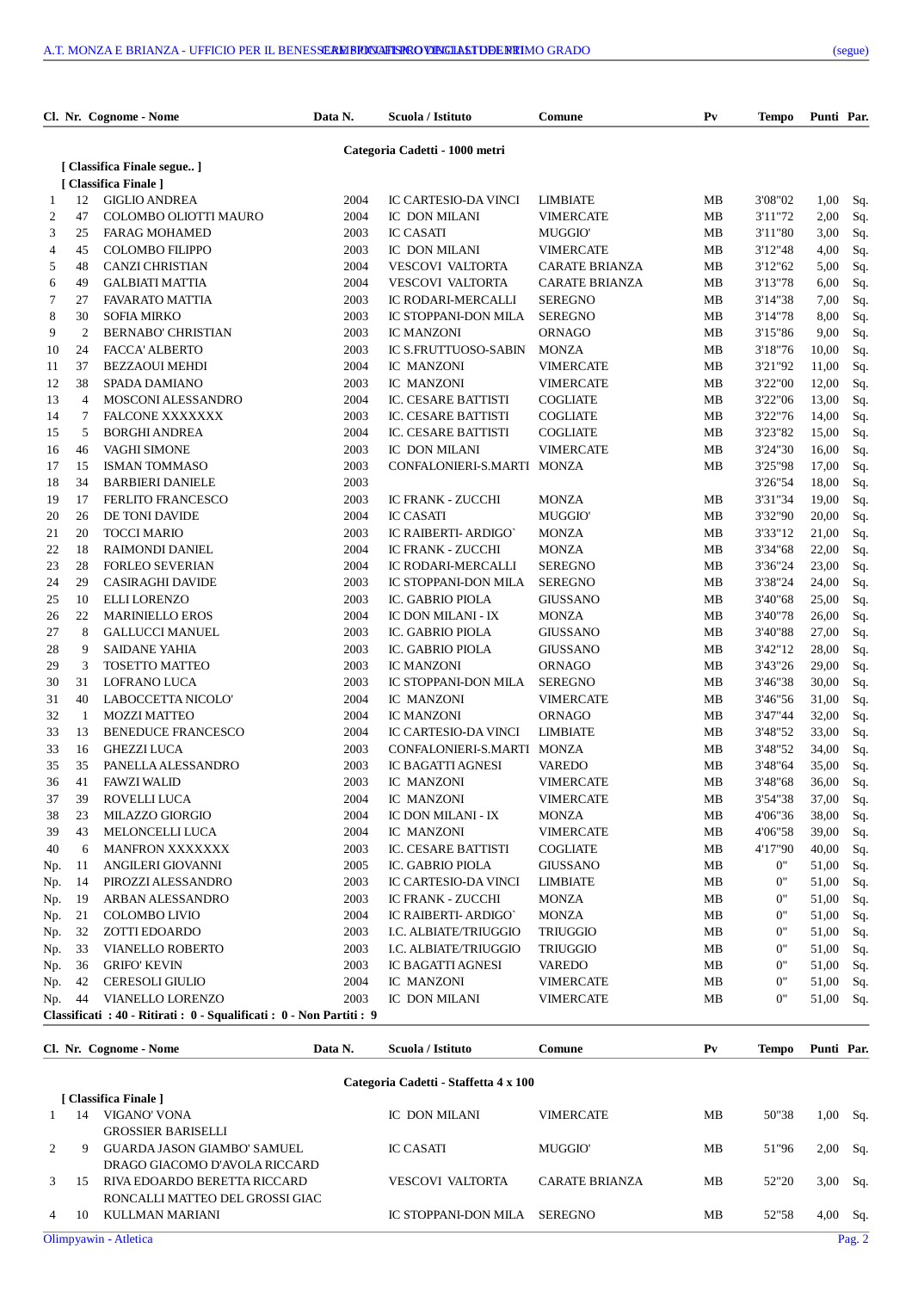|                      | Cl. Nr. Cognome - Nome                                                | Data N.      | Scuola / Istituto              | Comune                | P <sub>V</sub> | Tempo   | Punti Par. |     |
|----------------------|-----------------------------------------------------------------------|--------------|--------------------------------|-----------------------|----------------|---------|------------|-----|
|                      |                                                                       |              | Categoria Cadetti - 1000 metri |                       |                |         |            |     |
|                      | [ Classifica Finale segue ]                                           |              |                                |                       |                |         |            |     |
|                      | [ Classifica Finale ]                                                 |              |                                |                       |                |         |            |     |
| 12<br>1              | <b>GIGLIO ANDREA</b>                                                  | 2004         | IC CARTESIO-DA VINCI           | LIMBIATE              | MВ             | 3'08"02 | 1,00       | Sq. |
| 47<br>2              | COLOMBO OLIOTTI MAURO                                                 | 2004         | IC DON MILANI                  | <b>VIMERCATE</b>      | MВ             | 3'11"72 | 2,00       | Sq. |
| 3<br>25              | <b>FARAG MOHAMED</b>                                                  | 2003         | <b>IC CASATI</b>               | <b>MUGGIO</b>         | MВ             | 3'11"80 | 3,00       | Sq. |
| 4<br>45              | <b>COLOMBO FILIPPO</b>                                                | 2003         | IC DON MILANI                  | <b>VIMERCATE</b>      | MВ             | 3'12"48 | 4,00       | Sq. |
| 5<br>48              | <b>CANZI CHRISTIAN</b>                                                | 2004         | <b>VESCOVI VALTORTA</b>        | <b>CARATE BRIANZA</b> | MВ             | 3'12"62 | 5,00       | Sq. |
| 6<br>49              | <b>GALBIATI MATTIA</b>                                                | 2004         | <b>VESCOVI VALTORTA</b>        | <b>CARATE BRIANZA</b> | MВ             | 3'13"78 | 6,00       | Sq. |
| 7<br>27              | <b>FAVARATO MATTIA</b>                                                | 2003         | IC RODARI-MERCALLI             | <b>SEREGNO</b>        | MВ             | 3'14"38 | 7,00       | Sq. |
| 8<br>30              | <b>SOFIA MIRKO</b>                                                    | 2003         | IC STOPPANI-DON MILA           | <b>SEREGNO</b>        | MB             | 3'14"78 | 8,00       | Sq. |
| 9<br>2               | <b>BERNABO' CHRISTIAN</b>                                             | 2003         | <b>IC MANZONI</b>              | ORNAGO                | MВ             | 3'15"86 | 9,00       | Sq. |
| 24<br>10             | FACCA' ALBERTO                                                        | 2003         | IC S.FRUTTUOSO-SABIN           | <b>MONZA</b>          | MВ             | 3'18"76 | 10,00      | Sq. |
| 37<br>11             | <b>BEZZAOUI MEHDI</b>                                                 | 2004         | IC MANZONI                     | <b>VIMERCATE</b>      | MВ             | 3'21"92 | 11,00      | Sq. |
| 12<br>38             | SPADA DAMIANO                                                         | 2003         | IC MANZONI                     | <b>VIMERCATE</b>      | MВ             | 3'22"00 | 12,00      | Sq. |
| 13<br>$\overline{4}$ | MOSCONI ALESSANDRO                                                    | 2004         | IC. CESARE BATTISTI            | <b>COGLIATE</b>       | MB             | 3'22"06 | 13,00      | Sq. |
| 14<br>$\tau$         | <b>FALCONE XXXXXXX</b>                                                | 2003         | IC. CESARE BATTISTI            | <b>COGLIATE</b>       | MВ             | 3'22"76 | 14,00      | Sq. |
| 15<br>5              | <b>BORGHI ANDREA</b>                                                  | 2004         | IC. CESARE BATTISTI            | <b>COGLIATE</b>       | MВ             | 3'23"82 | 15,00      | Sq. |
| 16<br>46             | <b>VAGHI SIMONE</b>                                                   | 2003         | IC DON MILANI                  | <b>VIMERCATE</b>      | MВ             | 3'24"30 | 16,00      | Sq. |
| 17<br>15             | <b>ISMAN TOMMASO</b>                                                  | 2003         | CONFALONIERI-S.MARTI           | <b>MONZA</b>          | MВ             | 3'25"98 | 17,00      | Sq. |
| 18<br>34             | <b>BARBIERI DANIELE</b>                                               | 2003         |                                |                       |                | 3'26"54 | 18,00      | Sq. |
| 17<br>19             | <b>FERLITO FRANCESCO</b>                                              | 2003         | IC FRANK - ZUCCHI              | <b>MONZA</b>          | MВ             | 3'31"34 | 19,00      | Sq. |
| 20<br>26             | DE TONI DAVIDE                                                        | 2004         | <b>IC CASATI</b>               | <b>MUGGIO</b>         | MВ             | 3'32"90 | 20,00      | Sq. |
| 21<br>20             | <b>TOCCI MARIO</b>                                                    | 2003         | IC RAIBERTI- ARDIGO`           | <b>MONZA</b>          | MВ             | 3'33"12 | 21,00      | Sq. |
| 22<br>18             | RAIMONDI DANIEL                                                       | 2004         | IC FRANK - ZUCCHI              | <b>MONZA</b>          | MВ             | 3'34"68 | 22,00      | Sq. |
| 23<br>28             | <b>FORLEO SEVERIAN</b>                                                | 2004         | IC RODARI-MERCALLI             | <b>SEREGNO</b>        | MВ             | 3'36"24 | 23,00      | Sq. |
| 24<br>29             | <b>CASIRAGHI DAVIDE</b>                                               | 2003         | IC STOPPANI-DON MILA           | <b>SEREGNO</b>        | MB             | 3'38"24 | 24,00      | Sq. |
| 25<br>10             | <b>ELLI LORENZO</b>                                                   | 2003         | IC. GABRIO PIOLA               | <b>GIUSSANO</b>       | MВ             | 3'40"68 | 25,00      | Sq. |
| 26<br>22             | <b>MARINIELLO EROS</b>                                                | 2004         | IC DON MILANI - IX             | <b>MONZA</b>          | MВ             | 3'40"78 | 26,00      | Sq. |
| 27<br>8              | <b>GALLUCCI MANUEL</b>                                                | 2003         | IC. GABRIO PIOLA               | <b>GIUSSANO</b>       | MВ             | 3'40"88 | 27,00      | Sq. |
| 28<br>9              | <b>SAIDANE YAHIA</b>                                                  | 2003         | IC. GABRIO PIOLA               | <b>GIUSSANO</b>       | MВ             | 3'42"12 | 28,00      | Sq. |
| 29<br>3              | <b>TOSETTO MATTEO</b>                                                 | 2003         | <b>IC MANZONI</b>              | ORNAGO                | MB             | 3'43"26 | 29,00      | Sq. |
| 30<br>31             | LOFRANO LUCA                                                          | 2003         | IC STOPPANI-DON MILA           | <b>SEREGNO</b>        | MВ             | 3'46"38 | 30,00      | Sq. |
| 31<br>40             | LABOCCETTA NICOLO'                                                    | 2004         | IC MANZONI                     | <b>VIMERCATE</b>      | MВ             | 3'46"56 | 31,00      |     |
| 32<br>1              | <b>MOZZI MATTEO</b>                                                   |              |                                |                       |                | 3'47"44 |            | Sq. |
| 33<br>13             |                                                                       | 2004<br>2004 | <b>IC MANZONI</b>              | <b>ORNAGO</b>         | MВ             | 3'48"52 | 32,00      | Sq. |
| 33<br>16             | <b>BENEDUCE FRANCESCO</b>                                             |              | IC CARTESIO-DA VINCI           | <b>LIMBIATE</b>       | MВ             |         | 33,00      | Sq. |
|                      | <b>GHEZZI LUCA</b>                                                    | 2003         | CONFALONIERI-S.MARTI           | <b>MONZA</b>          | MВ             | 3'48"52 | 34,00      | Sq. |
| 35<br>35             | PANELLA ALESSANDRO                                                    | 2003         | <b>IC BAGATTI AGNESI</b>       | VAREDO                | MВ             | 3'48"64 | 35,00      | Sq. |
| 36<br>41             | <b>FAWZI WALID</b>                                                    | 2003         | IC MANZONI                     | <b>VIMERCATE</b>      | MВ             | 3'48"68 | 36,00      | Sq. |
| 37<br>39             | ROVELLI LUCA                                                          | 2004         | IC MANZONI                     | <b>VIMERCATE</b>      | MВ             | 3'54"38 | 37,00      | Sq. |
| 38<br>23             | MILAZZO GIORGIO                                                       | 2004         | IC DON MILANI - IX             | <b>MONZA</b>          | MВ             | 4'06"36 | 38,00      | Sq. |
| 39<br>43             | MELONCELLI LUCA                                                       | 2004         | IC MANZONI                     | <b>VIMERCATE</b>      | MВ             | 4'06"58 | 39,00      | Sq. |
| 40<br>6              | <b>MANFRON XXXXXXX</b>                                                | 2003         | IC. CESARE BATTISTI            | <b>COGLIATE</b>       | MВ             | 4'17"90 | 40,00      | Sq. |
| 11<br>Np.            | ANGILERI GIOVANNI                                                     | 2005         | IC. GABRIO PIOLA               | <b>GIUSSANO</b>       | MВ             | 0"      | 51,00      | Sq. |
| Np.<br>14            | PIROZZI ALESSANDRO                                                    | 2003         | IC CARTESIO-DA VINCI           | <b>LIMBIATE</b>       | MВ             | 0"      | 51,00      | Sq. |
| Np.<br>19            | ARBAN ALESSANDRO                                                      | 2003         | IC FRANK - ZUCCHI              | <b>MONZA</b>          | MВ             | 0"      | 51,00      | Sq. |
| Np.<br>21            | COLOMBO LIVIO                                                         | 2004         | IC RAIBERTI- ARDIGO'           | <b>MONZA</b>          | MВ             | 0"      | 51,00      | Sq. |
| 32<br>Np.            | ZOTTI EDOARDO                                                         | 2003         | I.C. ALBIATE/TRIUGGIO          | <b>TRIUGGIO</b>       | MB             | 0"      | 51,00      | Sq. |
| 33<br>Np.            | VIANELLO ROBERTO                                                      | 2003         | I.C. ALBIATE/TRIUGGIO          | <b>TRIUGGIO</b>       | MВ             | 0"      | 51,00      | Sq. |
| 36<br>Np.            | <b>GRIFO' KEVIN</b>                                                   | 2003         | IC BAGATTI AGNESI              | VAREDO                | MB             | 0"      | 51,00      | Sq. |
| 42<br>Np.            | <b>CERESOLI GIULIO</b>                                                | 2004         | IC MANZONI                     | <b>VIMERCATE</b>      | MB             | 0"      | 51,00      | Sq. |
| Np.<br>44            | VIANELLO LORENZO                                                      | 2003         | IC DON MILANI                  | VIMERCATE             | MВ             | 0"      | 51,00      | Sq. |
|                      | Classificati : 40 - Ritirati : 0 - Squalificati : 0 - Non Partiti : 9 |              |                                |                       |                |         |            |     |

|                |    | Cl. Nr. Cognome - Nome          | Data N. | Scuola / Istituto                     | Comune                | $P_{V}$ | <b>Tempo</b> | Punti Par. |          |
|----------------|----|---------------------------------|---------|---------------------------------------|-----------------------|---------|--------------|------------|----------|
|                |    |                                 |         | Categoria Cadetti - Staffetta 4 x 100 |                       |         |              |            |          |
|                |    | [ Classifica Finale ]           |         |                                       |                       |         |              |            |          |
|                | 14 | VIGANO' VONA                    |         | IC DON MILANI                         | <b>VIMERCATE</b>      | MВ      | 50"38        | 1,00       | Sq.      |
|                |    | <b>GROSSIER BARISELLI</b>       |         |                                       |                       |         |              |            |          |
| $\mathcal{D}$  | 9  | GUARDA JASON GIAMBO' SAMUEL     |         | <b>IC CASATI</b>                      | MUGGIO'               | MВ      | 51"96        | 2,00       | Sq.      |
|                |    | DRAGO GIACOMO D'AVOLA RICCARD   |         |                                       |                       |         |              |            |          |
| $\mathcal{R}$  | 15 | RIVA EDOARDO BERETTA RICCARD    |         | <b>VESCOVI VALTORTA</b>               | <b>CARATE BRIANZA</b> | MВ      | 52"20        | 3,00       | Sq.      |
|                |    | RONCALLI MATTEO DEL GROSSI GIAC |         |                                       |                       |         |              |            |          |
| $\overline{4}$ | 10 | KULLMAN MARIANI                 |         | IC STOPPANI-DON MILA                  | <b>SEREGNO</b>        | MВ      | 52"58        | 4,00       | Sq.      |
|                |    | Olimpyawin - Atletica           |         |                                       |                       |         |              |            | Pag. $2$ |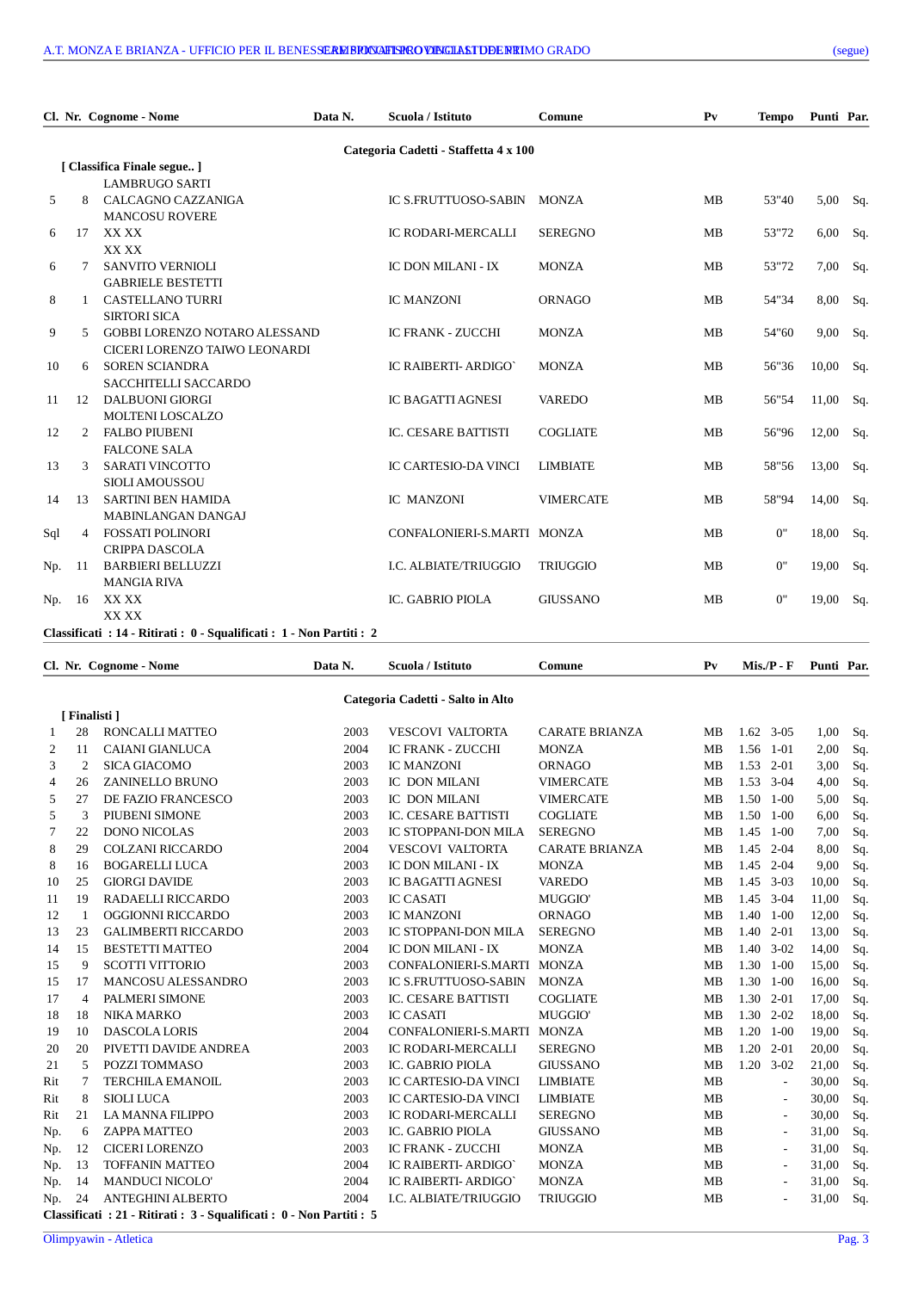|     |                | Cl. Nr. Cognome - Nome                                                | Data N. | Scuola / Istituto                     | Comune           | P <sub>V</sub> | <b>Tempo</b> | Punti Par. |     |
|-----|----------------|-----------------------------------------------------------------------|---------|---------------------------------------|------------------|----------------|--------------|------------|-----|
|     |                |                                                                       |         | Categoria Cadetti - Staffetta 4 x 100 |                  |                |              |            |     |
|     |                | [ Classifica Finale segue]                                            |         |                                       |                  |                |              |            |     |
|     |                | <b>LAMBRUGO SARTI</b>                                                 |         |                                       |                  |                |              |            |     |
| 5   | 8              | CALCAGNO CAZZANIGA                                                    |         | IC S.FRUTTUOSO-SABIN                  | <b>MONZA</b>     | <b>MB</b>      | 53"40        | 5,00       | Sq. |
|     |                | <b>MANCOSU ROVERE</b>                                                 |         |                                       |                  |                |              |            |     |
| 6   | 17             | XX XX                                                                 |         | <b>IC RODARI-MERCALLI</b>             | <b>SEREGNO</b>   | MB             | 53"72        | 6,00       | Sq. |
|     |                | XX XX                                                                 |         |                                       |                  |                |              |            |     |
| 6   | 7              | <b>SANVITO VERNIOLI</b>                                               |         | IC DON MILANI - IX                    | <b>MONZA</b>     | MB             | 53"72        | 7,00       | Sq. |
|     |                | <b>GABRIELE BESTETTI</b>                                              |         |                                       |                  |                |              |            |     |
| 8   | 1              | <b>CASTELLANO TURRI</b>                                               |         | <b>IC MANZONI</b>                     | <b>ORNAGO</b>    | MB             | 54"34        | 8,00       | Sq. |
|     |                | <b>SIRTORI SICA</b>                                                   |         |                                       |                  |                |              |            |     |
| 9   | 5.             | <b>GOBBI LORENZO NOTARO ALESSAND</b>                                  |         | <b>IC FRANK - ZUCCHI</b>              | <b>MONZA</b>     | MB             | 54"60        | 9,00       | Sq. |
|     |                | CICERI LORENZO TAIWO LEONARDI                                         |         |                                       |                  |                |              |            |     |
| 10  | 6              | <b>SOREN SCIANDRA</b>                                                 |         | IC RAIBERTI- ARDIGO'                  | <b>MONZA</b>     | MB             | 56"36        | 10,00      | Sq. |
|     |                | SACCHITELLI SACCARDO                                                  |         |                                       |                  |                |              |            |     |
| 11  | 12             | <b>DALBUONI GIORGI</b>                                                |         | IC BAGATTI AGNESI                     | <b>VAREDO</b>    | MB             | 56"54        | 11,00      | Sq. |
|     |                | MOLTENI LOSCALZO                                                      |         |                                       |                  |                |              |            |     |
| 12  | $\overline{2}$ | <b>FALBO PIUBENI</b>                                                  |         | <b>IC. CESARE BATTISTI</b>            | <b>COGLIATE</b>  | MB             | 56"96        | 12,00      | Sq. |
|     |                | <b>FALCONE SALA</b>                                                   |         |                                       |                  |                |              |            |     |
| 13  | 3              | <b>SARATI VINCOTTO</b>                                                |         | <b>IC CARTESIO-DA VINCI</b>           | <b>LIMBIATE</b>  | MB             | 58"56        | 13,00      | Sq. |
|     |                | <b>SIOLI AMOUSSOU</b>                                                 |         |                                       |                  |                |              |            |     |
| 14  | 13             | <b>SARTINI BEN HAMIDA</b>                                             |         | IC MANZONI                            | <b>VIMERCATE</b> | MB             | 58"94        | 14,00      | Sq. |
|     |                | MABINLANGAN DANGAJ                                                    |         |                                       |                  |                |              |            |     |
| Sql | $\overline{4}$ | FOSSATI POLINORI                                                      |         | CONFALONIERI-S.MARTI MONZA            |                  | MB             | 0"           | 18,00      | Sq. |
|     |                | <b>CRIPPA DASCOLA</b>                                                 |         |                                       |                  |                |              |            |     |
| Np. | 11             | <b>BARBIERI BELLUZZI</b>                                              |         | I.C. ALBIATE/TRIUGGIO                 | <b>TRIUGGIO</b>  | MB             | 0"           | 19,00      | Sq. |
|     |                | <b>MANGIA RIVA</b>                                                    |         |                                       |                  |                |              |            |     |
| Np. | 16             | XX XX                                                                 |         | IC. GABRIO PIOLA                      | <b>GIUSSANO</b>  | MB             | 0"           | 19,00      | Sq. |
|     |                | XX XX                                                                 |         |                                       |                  |                |              |            |     |
|     |                | Classificati : 14 - Ritirati : 0 - Squalificati : 1 - Non Partiti : 2 |         |                                       |                  |                |              |            |     |

| Cl. Nr. Cognome - Nome |                | Data N.                                                               | Scuola / Istituto | Comune                            | P <sub>V</sub>        | $Mis.P - F$ | Punti Par.               |       |     |
|------------------------|----------------|-----------------------------------------------------------------------|-------------------|-----------------------------------|-----------------------|-------------|--------------------------|-------|-----|
|                        |                |                                                                       |                   | Categoria Cadetti - Salto in Alto |                       |             |                          |       |     |
|                        | [ Finalisti ]  |                                                                       |                   |                                   |                       |             |                          |       |     |
| 1                      | 28             | RONCALLI MATTEO                                                       | 2003              | <b>VESCOVI VALTORTA</b>           | <b>CARATE BRIANZA</b> | MВ          | $1.62$ 3-05              | 1,00  | Sq. |
| 2                      | 11             | CAIANI GIANLUCA                                                       | 2004              | <b>IC FRANK - ZUCCHI</b>          | <b>MONZA</b>          | MB          | 1.56<br>$1 - 01$         | 2,00  | Sq. |
| 3                      | $\overline{2}$ | <b>SICA GIACOMO</b>                                                   | 2003              | <b>IC MANZONI</b>                 | ORNAGO                | MB          | 1.53<br>$2 - 01$         | 3,00  | Sq. |
| 4                      | 26             | <b>ZANINELLO BRUNO</b>                                                | 2003              | IC DON MILANI                     | <b>VIMERCATE</b>      | MB          | 1.53<br>$3-04$           | 4,00  | Sq. |
| 5                      | 27             | DE FAZIO FRANCESCO                                                    | 2003              | IC DON MILANI                     | <b>VIMERCATE</b>      | MB          | 1.50<br>$1 - 00$         | 5,00  | Sq. |
| 5                      | 3              | PIUBENI SIMONE                                                        | 2003              | <b>IC. CESARE BATTISTI</b>        | <b>COGLIATE</b>       | MB          | 1.50<br>$1 - 00$         | 6,00  | Sq. |
| 7                      | 22             | <b>DONO NICOLAS</b>                                                   | 2003              | IC STOPPANI-DON MILA              | <b>SEREGNO</b>        | MB          | 1.45 1-00                | 7,00  | Sq. |
| 8                      | 29             | <b>COLZANI RICCARDO</b>                                               | 2004              | <b>VESCOVI VALTORTA</b>           | <b>CARATE BRIANZA</b> | MB          | 1.45<br>$2 - 04$         | 8,00  | Sq. |
| 8                      | 16             | <b>BOGARELLI LUCA</b>                                                 | 2003              | IC DON MILANI - IX                | <b>MONZA</b>          | MB          | $2 - 04$<br>1.45         | 9,00  | Sq. |
| 10                     | 25             | <b>GIORGI DAVIDE</b>                                                  | 2003              | <b>IC BAGATTI AGNESI</b>          | <b>VAREDO</b>         | MB          | 1.45<br>$3-03$           | 10,00 | Sq. |
| 11                     | 19             | RADAELLI RICCARDO                                                     | 2003              | <b>IC CASATI</b>                  | MUGGIO'               | <b>MB</b>   | 1.45 3-04                | 11,00 | Sq. |
| 12                     | 1              | OGGIONNI RICCARDO                                                     | 2003              | <b>IC MANZONI</b>                 | ORNAGO                | MB          | 1.40<br>$1 - 00$         | 12,00 | Sq. |
| 13                     | 23             | <b>GALIMBERTI RICCARDO</b>                                            | 2003              | IC STOPPANI-DON MILA              | <b>SEREGNO</b>        | MB          | 1.40<br>$2 - 01$         | 13,00 | Sq. |
| 14                     | 15             | <b>BESTETTI MATTEO</b>                                                | 2004              | IC DON MILANI - IX                | <b>MONZA</b>          | <b>MB</b>   | 1.40<br>$3-02$           | 14,00 | Sq. |
| 15                     | 9              | <b>SCOTTI VITTORIO</b>                                                | 2003              | CONFALONIERI-S.MARTI              | <b>MONZA</b>          | <b>MB</b>   | 1.30<br>$1 - 00$         | 15,00 | Sq. |
| 15                     | 17             | MANCOSU ALESSANDRO                                                    | 2003              | IC S.FRUTTUOSO-SABIN              | <b>MONZA</b>          | <b>MB</b>   | 1.30<br>$1 - 00$         | 16,00 | Sq. |
| 17                     | $\overline{4}$ | PALMERI SIMONE                                                        | 2003              | IC. CESARE BATTISTI               | <b>COGLIATE</b>       | <b>MB</b>   | 1.30 2-01                | 17,00 | Sq. |
| 18                     | 18             | NIKA MARKO                                                            | 2003              | <b>IC CASATI</b>                  | <b>MUGGIO</b>         | MB          | 1.30<br>$2 - 02$         | 18,00 | Sq. |
| 19                     | 10             | <b>DASCOLA LORIS</b>                                                  | 2004              | CONFALONIERI-S.MARTI              | <b>MONZA</b>          | MB          | 1.20<br>$1 - 00$         | 19,00 | Sq. |
| 20                     | 20             | PIVETTI DAVIDE ANDREA                                                 | 2003              | <b>IC RODARI-MERCALLI</b>         | <b>SEREGNO</b>        | <b>MB</b>   | 1.20<br>$2 - 01$         | 20,00 | Sq. |
| 21                     | 5              | POZZI TOMMASO                                                         | 2003              | IC. GABRIO PIOLA                  | <b>GIUSSANO</b>       | <b>MB</b>   | 1.20 3-02                | 21,00 | Sq. |
| Rit                    | 7              | <b>TERCHILA EMANOIL</b>                                               | 2003              | <b>IC CARTESIO-DA VINCI</b>       | <b>LIMBIATE</b>       | <b>MB</b>   | $\overline{\phantom{a}}$ | 30,00 | Sq. |
| Rit                    | 8              | <b>SIOLI LUCA</b>                                                     | 2003              | IC CARTESIO-DA VINCI              | <b>LIMBIATE</b>       | MB          | $\overline{\phantom{a}}$ | 30,00 | Sq. |
| Rit                    | 21             | LA MANNA FILIPPO                                                      | 2003              | IC RODARI-MERCALLI                | <b>SEREGNO</b>        | MB          | $\overline{\phantom{a}}$ | 30,00 | Sq. |
| Np.                    | 6              | <b>ZAPPA MATTEO</b>                                                   | 2003              | IC. GABRIO PIOLA                  | <b>GIUSSANO</b>       | MВ          | $\overline{\phantom{a}}$ | 31,00 | Sq. |
| Np.                    | 12             | <b>CICERI LORENZO</b>                                                 | 2003              | <b>IC FRANK - ZUCCHI</b>          | <b>MONZA</b>          | MВ          | $\overline{\phantom{a}}$ | 31,00 | Sq. |
| Np.                    | 13             | <b>TOFFANIN MATTEO</b>                                                | 2004              | IC RAIBERTI- ARDIGO'              | <b>MONZA</b>          | MB          | $\overline{\phantom{a}}$ | 31,00 | Sq. |
| Np.                    | 14             | <b>MANDUCI NICOLO'</b>                                                | 2004              | IC RAIBERTI- ARDIGO`              | <b>MONZA</b>          | MB          | $\overline{\phantom{a}}$ | 31,00 | Sq. |
| Np.                    | 24             | ANTEGHINI ALBERTO                                                     | 2004              | I.C. ALBIATE/TRIUGGIO             | <b>TRIUGGIO</b>       | <b>MB</b>   |                          | 31,00 | Sq. |
|                        |                | Classificati : 21 - Ritirati : 3 - Squalificati : 0 - Non Partiti : 5 |                   |                                   |                       |             |                          |       |     |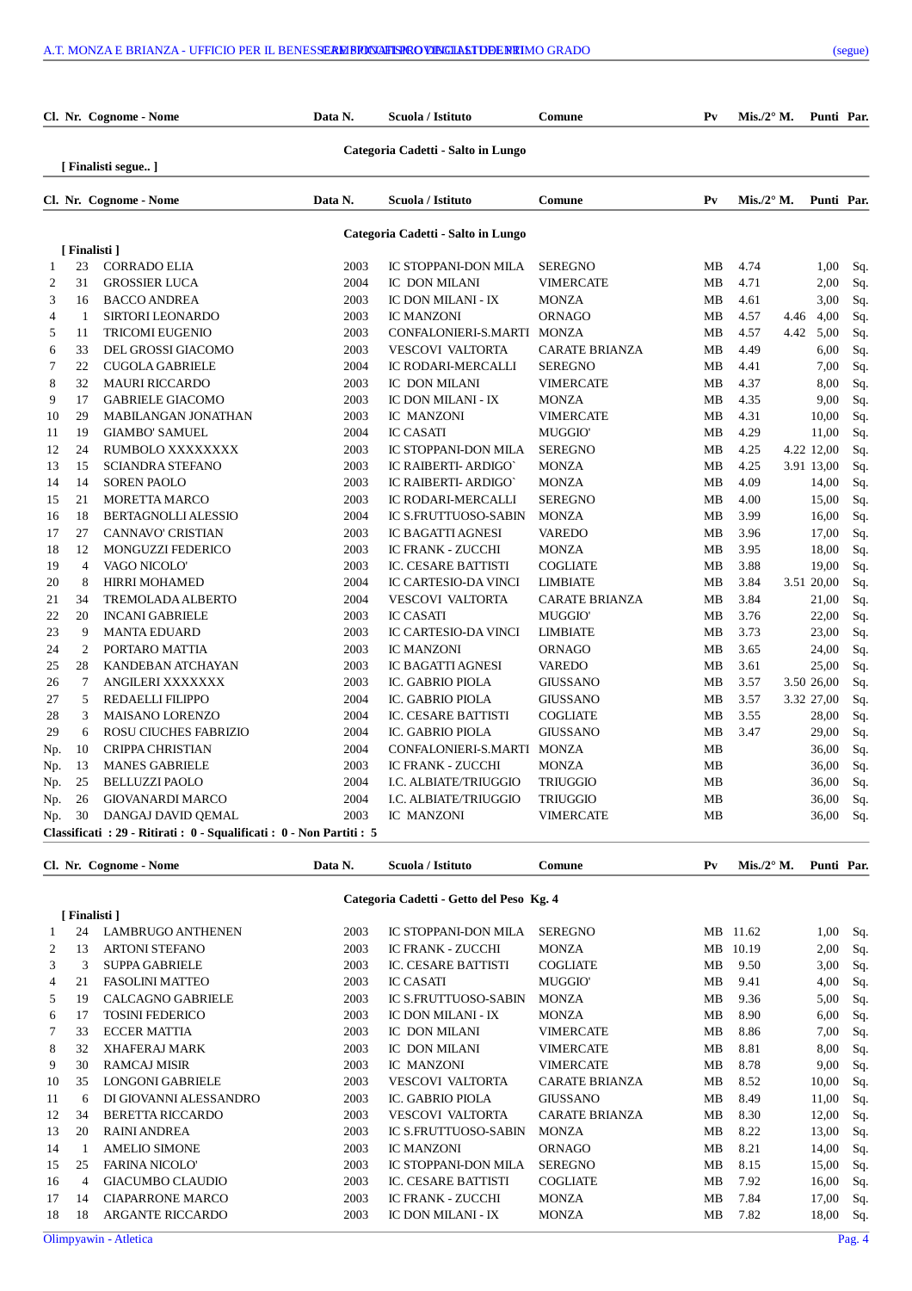|        |                | Cl. Nr. Cognome - Nome                                                | Data N.      | Scuola / Istituto                          | Comune                             | P <sub>V</sub> | Mis./2 $\degree$ M. |      | Punti Par.          |            |
|--------|----------------|-----------------------------------------------------------------------|--------------|--------------------------------------------|------------------------------------|----------------|---------------------|------|---------------------|------------|
|        |                | [ Finalisti segue ]                                                   |              | Categoria Cadetti - Salto in Lungo         |                                    |                |                     |      |                     |            |
|        |                | Cl. Nr. Cognome - Nome                                                | Data N.      | Scuola / Istituto                          | Comune                             | P <sub>V</sub> | Mis./2 $\degree$ M. |      | Punti Par.          |            |
|        |                |                                                                       |              |                                            |                                    |                |                     |      |                     |            |
|        |                |                                                                       |              | Categoria Cadetti - Salto in Lungo         |                                    |                |                     |      |                     |            |
|        | [Finalisti]    |                                                                       |              |                                            |                                    |                |                     |      |                     |            |
| 1      | 23             | <b>CORRADO ELIA</b>                                                   | 2003         | <b>IC STOPPANI-DON MILA</b>                | <b>SEREGNO</b>                     | MB             | 4.74                |      | 1,00                | Sq.        |
| 2      | 31             | <b>GROSSIER LUCA</b>                                                  | 2004         | IC DON MILANI                              | <b>VIMERCATE</b>                   | MB             | 4.71                |      | 2,00                | Sq.        |
| 3      | 16             | <b>BACCO ANDREA</b>                                                   | 2003         | IC DON MILANI - IX                         | <b>MONZA</b>                       | MB             | 4.61                |      | 3,00                | Sq.        |
| 4      | -1             | <b>SIRTORI LEONARDO</b>                                               | 2003         | <b>IC MANZONI</b>                          | <b>ORNAGO</b>                      | MB             | 4.57                | 4.46 | 4,00                | Sq.        |
| 5      | 11             | <b>TRICOMI EUGENIO</b>                                                | 2003         | CONFALONIERI-S.MARTI MONZA                 |                                    | <b>MB</b>      | 4.57                | 4.42 | 5,00                | Sq.        |
| 6      | 33             | DEL GROSSI GIACOMO                                                    | 2003         | <b>VESCOVI VALTORTA</b>                    | <b>CARATE BRIANZA</b>              | MB             | 4.49                |      | 6,00                | Sq.        |
| 7      | 22<br>32       | <b>CUGOLA GABRIELE</b><br><b>MAURI RICCARDO</b>                       | 2004         | IC RODARI-MERCALLI<br><b>IC DON MILANI</b> | <b>SEREGNO</b>                     | MB             | 4.41<br>4.37        |      | 7,00                | Sq.        |
| 8<br>9 | 17             | <b>GABRIELE GIACOMO</b>                                               | 2003<br>2003 | IC DON MILANI - IX                         | <b>VIMERCATE</b><br><b>MONZA</b>   | MB<br>MB       | 4.35                |      | 8,00<br>9,00        | Sq.        |
| 10     | 29             |                                                                       |              |                                            |                                    | MB             | 4.31                |      |                     | Sq.        |
| 11     | 19             | <b>MABILANGAN JONATHAN</b><br><b>GIAMBO' SAMUEL</b>                   | 2003<br>2004 | IC MANZONI<br><b>IC CASATI</b>             | <b>VIMERCATE</b><br><b>MUGGIO'</b> | MB             | 4.29                |      | 10,00               | Sq.        |
| 12     | 24             | RUMBOLO XXXXXXXX                                                      | 2003         | IC STOPPANI-DON MILA                       | <b>SEREGNO</b>                     | MB             | 4.25                |      | 11,00<br>4.22 12,00 | Sq.<br>Sq. |
| 13     | 15             | <b>SCIANDRA STEFANO</b>                                               | 2003         | IC RAIBERTI- ARDIGO'                       | <b>MONZA</b>                       | MB             | 4.25                |      | 3.91 13,00          | Sq.        |
| 14     | 14             | SOREN PAOLO                                                           | 2003         | IC RAIBERTI- ARDIGO'                       | <b>MONZA</b>                       | MB             | 4.09                |      | 14,00               | Sq.        |
| 15     | 21             | <b>MORETTA MARCO</b>                                                  | 2003         | IC RODARI-MERCALLI                         | <b>SEREGNO</b>                     | MB             | 4.00                |      | 15,00               | Sq.        |
| 16     | 18             | <b>BERTAGNOLLI ALESSIO</b>                                            | 2004         | <b>IC S.FRUTTUOSO-SABIN</b>                | <b>MONZA</b>                       | MB             | 3.99                |      | 16,00               | Sq.        |
| 17     | 27             | <b>CANNAVO' CRISTIAN</b>                                              | 2003         | IC BAGATTI AGNESI                          | <b>VAREDO</b>                      | MB             | 3.96                |      | 17,00               | Sq.        |
| 18     | 12             | MONGUZZI FEDERICO                                                     | 2003         | IC FRANK - ZUCCHI                          | <b>MONZA</b>                       | MB             | 3.95                |      | 18,00               | Sq.        |
| 19     | $\overline{4}$ | VAGO NICOLO'                                                          | 2003         | IC. CESARE BATTISTI                        | <b>COGLIATE</b>                    | MB             | 3.88                |      | 19,00               | Sq.        |
| 20     | 8              | <b>HIRRI MOHAMED</b>                                                  | 2004         | <b>IC CARTESIO-DA VINCI</b>                | LIMBIATE                           | MB             | 3.84                |      | 3.51 20,00          | Sq.        |
| 21     | 34             | <b>TREMOLADA ALBERTO</b>                                              | 2004         | <b>VESCOVI VALTORTA</b>                    | <b>CARATE BRIANZA</b>              | <b>MB</b>      | 3.84                |      | 21,00               | Sq.        |
| 22     | 20             | <b>INCANI GABRIELE</b>                                                | 2003         | <b>IC CASATI</b>                           | <b>MUGGIO</b>                      | MB             | 3.76                |      | 22,00               | Sq.        |
| 23     | 9              | <b>MANTA EDUARD</b>                                                   | 2003         | IC CARTESIO-DA VINCI                       | <b>LIMBIATE</b>                    | MB             | 3.73                |      | 23,00               | Sq.        |
| 24     | $\overline{2}$ | PORTARO MATTIA                                                        | 2003         | <b>IC MANZONI</b>                          | <b>ORNAGO</b>                      | MB             | 3.65                |      | 24,00               | Sq.        |
| 25     | 28             | KANDEBAN ATCHAYAN                                                     | 2003         | <b>IC BAGATTI AGNESI</b>                   | <b>VAREDO</b>                      | MB             | 3.61                |      | 25,00               | Sq.        |
| 26     | $\tau$         | ANGILERI XXXXXXX                                                      | 2003         | IC. GABRIO PIOLA                           | <b>GIUSSANO</b>                    | <b>MB</b>      | 3.57                |      | 3.50 26,00          | Sq.        |
| 27     | 5              | <b>REDAELLI FILIPPO</b>                                               | 2004         | IC. GABRIO PIOLA                           | <b>GIUSSANO</b>                    | MB             | 3.57                |      | 3.32 27,00          | Sq.        |
| 28     | 3              | <b>MAISANO LORENZO</b>                                                | 2004         | IC. CESARE BATTISTI                        | <b>COGLIATE</b>                    | MB             | 3.55                |      | 28,00               | Sq.        |
| 29     | 6              | <b>ROSU CIUCHES FABRIZIO</b>                                          | 2004         | IC. GABRIO PIOLA                           | <b>GIUSSANO</b>                    | MB             | 3.47                |      | 29,00               | Sq.        |
| Np.    | 10             | <b>CRIPPA CHRISTIAN</b>                                               | 2004         | CONFALONIERI-S.MARTI MONZA                 |                                    | MB             |                     |      | 36,00               | Sq.        |
| Np.    |                | 13 MANES GABRIELE                                                     | 2003         | IC FRANK - ZUCCHI                          | <b>MONZA</b>                       | MB             |                     |      | 36,00 Sq.           |            |
|        | Np. 25         | <b>BELLUZZI PAOLO</b>                                                 | 2004         | I.C. ALBIATE/TRIUGGIO                      | <b>TRIUGGIO</b>                    | MВ             |                     |      | 36,00 Sq.           |            |
|        | Np. 26         | <b>GIOVANARDI MARCO</b>                                               | 2004         | I.C. ALBIATE/TRIUGGIO                      | <b>TRIUGGIO</b>                    | MB             |                     |      | 36,00               | Sq.        |
|        | Np. 30         | DANGAJ DAVID QEMAL                                                    | 2003         | IC MANZONI                                 | <b>VIMERCATE</b>                   | MB             |                     |      | 36,00               | Sq.        |
|        |                | Classificati : 29 - Ritirati : 0 - Squalificati : 0 - Non Partiti : 5 |              |                                            |                                    |                |                     |      |                     |            |
|        |                | Cl. Nr. Cognome - Nome                                                | Data N.      | Scuola / Istituto                          | Comune                             | $P_{V}$        | $Mis./2^{\circ} M.$ |      | Punti Par.          |            |
|        |                |                                                                       |              |                                            |                                    |                |                     |      |                     |            |
|        | [Finalisti]    |                                                                       |              | Categoria Cadetti - Getto del Peso Kg. 4   |                                    |                |                     |      |                     |            |
| 1      | 24             | LAMBRUGO ANTHENEN                                                     | 2003         | IC STOPPANI-DON MILA                       | <b>SEREGNO</b>                     |                | MB 11.62            |      | 1,00                | Sq.        |
| 2      | 13             | <b>ARTONI STEFANO</b>                                                 | 2003         | IC FRANK - ZUCCHI                          | <b>MONZA</b>                       |                | MB 10.19            |      | 2,00                | Sq.        |
| 3      | 3              | <b>SUPPA GABRIELE</b>                                                 | 2003         | IC. CESARE BATTISTI                        | <b>COGLIATE</b>                    | MВ             | 9.50                |      | 3,00                | -Sq.       |
| 4      | 21             | <b>FASOLINI MATTEO</b>                                                | 2003         | <b>IC CASATI</b>                           | <b>MUGGIO</b>                      | MВ             | 9.41                |      | 4,00                | Sq.        |
| 5      | 19             | CALCAGNO GABRIELE                                                     | 2003         | <b>IC S.FRUTTUOSO-SABIN</b>                | <b>MONZA</b>                       | MВ             | 9.36                |      | 5,00                | Sq.        |
| 6      | 17             | <b>TOSINI FEDERICO</b>                                                | 2003         | IC DON MILANI - IX                         | <b>MONZA</b>                       | MВ             | 8.90                |      | 6,00                | Sq.        |
| 7      | 33             | <b>ECCER MATTIA</b>                                                   | 2003         | IC DON MILANI                              | <b>VIMERCATE</b>                   | MB             | 8.86                |      |                     | 7,00 Sq.   |
| 8      | 32             | XHAFERAJ MARK                                                         | 2003         | IC DON MILANI                              | <b>VIMERCATE</b>                   | MB             | 8.81                |      |                     | 8,00 Sq.   |

 9 30 RAMCAJ MISIR 2003 IC MANZONI VIMERCATE MB 8.78 9,00 Sq. 10 35 LONGONI GABRIELE 2003 VESCOVI VALTORTA CARATE BRIANZA MB 8.52 10,00 Sq. 11 6 DI GIOVANNI ALESSANDRO 2003 IC. GABRIO PIOLA GIUSSANO MB 8.49 11,00 Sq. 12 34 BERETTA RICCARDO 2003 VESCOVI VALTORTA CARATE BRIANZA MB 8.30 12,00 Sq. 13 20 RAINI ANDREA 2003 IC S.FRUTTUOSO-SABIN MONZA MB 8.22 13,00 Sq. 14 1 AMELIO SIMONE 2003 IC MANZONI ORNAGO MB 8.21 14,00 Sq. 15 25 FARINA NICOLO' 2003 IC STOPPANI-DON MILA SEREGNO MB 8.15 15,00 Sq. 16 4 GIACUMBO CLAUDIO 2003 IC. CESARE BATTISTI COGLIATE MB 7.92 16,00 Sq. 17 14 CIAPARRONE MARCO 2003 IC FRANK - ZUCCHI MONZA MB 7.84 17,00 Sq.<br>18 18 ARGANTE RICCARDO 2003 IC DON MILANI - IX MONZA MB 7.82 18,00 Sq.

18 18 ARGANTE RICCARDO 2003 IC DON MILANI - IX